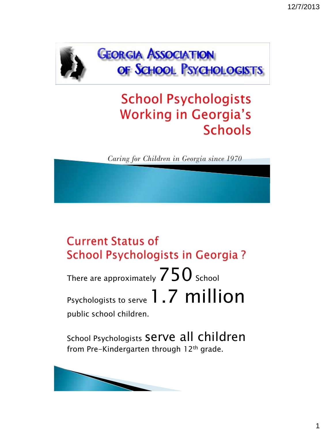

**GEORGIA ASSOCIATION** OF SCHOOL PSYCHOLOGISTS

# **School Psychologists Working in Georgia's Schools**

*Caring for Children in Georgia since 1970*

### **Current Status of** School Psychologists in Georgia?

There are approximately  $750$  School Psychologists to serve 1.7 million public school children.

School Psychologists serve all children from Pre-Kindergarten through 12<sup>th</sup> grade.

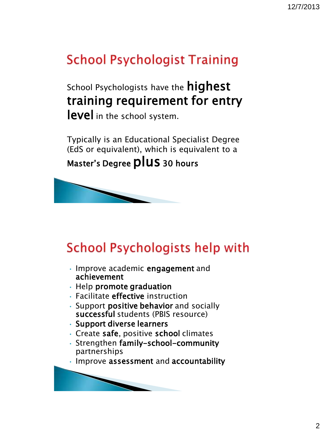# **School Psychologist Training**

School Psychologists have the **highest** training requirement for entry level in the school system.

Typically is an Educational Specialist Degree (EdS or equivalent), which is equivalent to a Master's Degree **plus** 30 hours



# **School Psychologists help with**

- Improve academic engagement and achievement
- Help promote graduation
- Facilitate effective instruction
- Support positive behavior and socially successful students (PBIS resource)
- Support diverse learners
- Create safe, positive school climates
- Strengthen family-school-community partnerships
- Improve assessment and accountability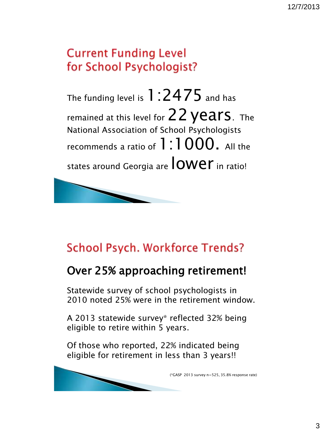### **Current Funding Level** for School Psychologist?

The funding level is  $1:2475$  and has remained at this level for  $22$  years. The National Association of School Psychologists recommends a ratio of  $1:1000$ . All the states around Georgia are **lower** in ratio!



### **School Psych. Workforce Trends?**

#### Over 25% approaching retirement!

Statewide survey of school psychologists in 2010 noted 25% were in the retirement window.

A 2013 statewide survey\* reflected 32% being eligible to retire within 5 years.

Of those who reported, 22% indicated being eligible for retirement in less than 3 years!!

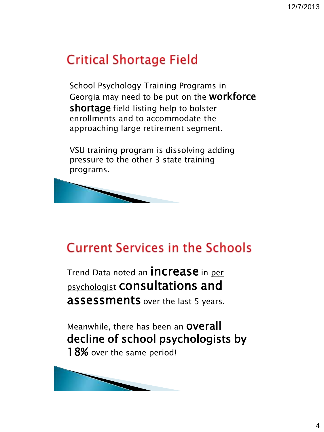# **Critical Shortage Field**

School Psychology Training Programs in Georgia may need to be put on the workforce shortage field listing help to bolster enrollments and to accommodate the approaching large retirement segment.

VSU training program is dissolving adding pressure to the other 3 state training programs.



### **Current Services in the Schools**

Trend Data noted an **INCrease** in per psychologist consultations and **assessments** over the last 5 years.

Meanwhile, there has been an **OVETall** decline of school psychologists by 18% over the same period!

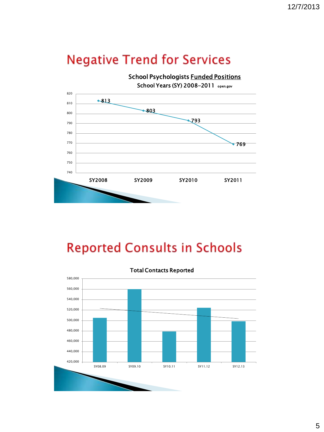### **Negative Trend for Services**

School Psychologists Funded Positions School Years (SY) 2008-2011 open.gov



## **Reported Consults in Schools**

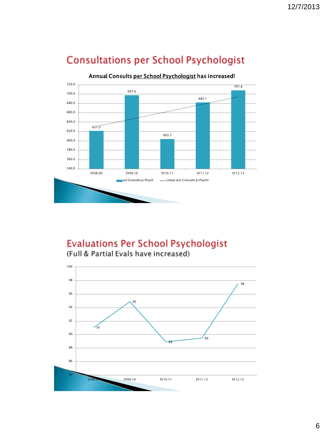

#### **Consultations per School Psychologist**

**Evaluations Per School Psychologist** 



(Full & Partial Evals have increased)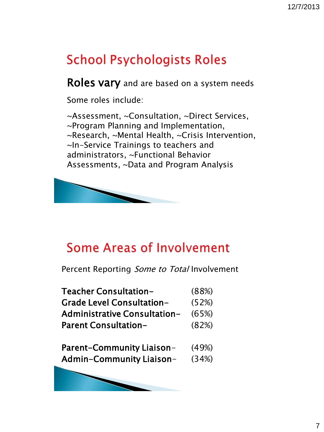# **School Psychologists Roles**

Roles vary and are based on a system needs

Some roles include:

~Assessment, ~Consultation, ~Direct Services, ~Program Planning and Implementation, ~Research, ~Mental Health, ~Crisis Intervention, ~In-Service Trainings to teachers and administrators, ~Functional Behavior Assessments, ~Data and Program Analysis



## **Some Areas of Involvement**

Percent Reporting Some to Total Involvement

| (88%) |
|-------|
| (52%) |
| (65%) |
| (82%) |
|       |

| <b>Parent-Community Liaison-</b> | (49%) |
|----------------------------------|-------|
| <b>Admin-Community Liaison-</b>  | (34%) |

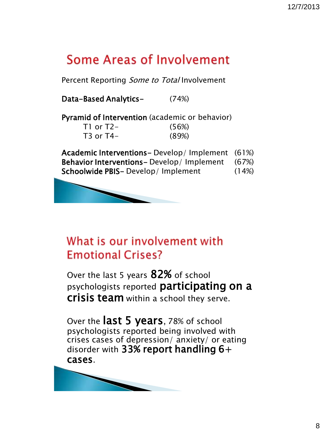## Some Areas of Involvement

Percent Reporting Some to Total Involvement

Data-Based Analytics- (74%)

Pyramid of Intervention (academic or behavior)

| T1 or T2- | (56%) |
|-----------|-------|
| T3 or T4– | (89%) |

Academic Interventions- Develop/ Implement (61%) Behavior Interventions- Develop/ Implement (67%) Schoolwide PBIS- Develop/Implement (14%)



### What is our involvement with **Emotional Crises?**

Over the last 5 years 82% of school psychologists reported participating on a **Crisis team** within a school they serve.

Over the **last 5 years**, 78% of school psychologists reported being involved with crises cases of depression/ anxiety/ or eating disorder with 33% report handling  $6+$ cases.

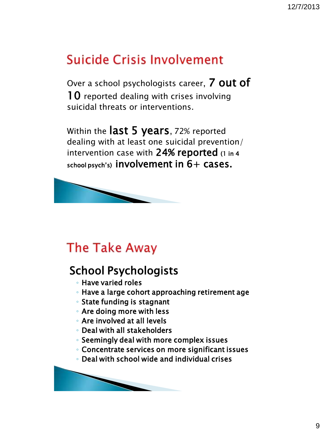## **Suicide Crisis Involvement**

Over a school psychologists career, 7 out of 10 reported dealing with crises involving suicidal threats or interventions.

Within the last 5 years, 72% reported dealing with at least one suicidal prevention/ intervention case with 24% reported (1 in 4 school psych's) involvement in  $6+$  cases.



### **The Take Away**

### School Psychologists

- Have varied roles
- Have a large cohort approaching retirement age
- State funding is stagnant
- Are doing more with less
- Are involved at all levels
- Deal with all stakeholders
- Seemingly deal with more complex issues
- Concentrate services on more significant issues
- Deal with school wide and individual crises